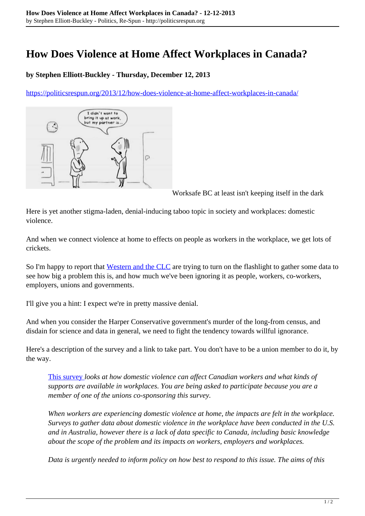## **How Does Violence at Home Affect Workplaces in Canada?**

## **by Stephen Elliott-Buckley - Thursday, December 12, 2013**

<https://politicsrespun.org/2013/12/how-does-violence-at-home-affect-workplaces-in-canada/>



Worksafe BC at least isn't keeping itself in the dark

Here is yet another stigma-laden, denial-inducing taboo topic in society and workplaces: domestic violence.

And when we connect violence at home to effects on people as workers in the workplace, we get lots of crickets.

So I'm happy to report that [Western and the CLC](http://www.canadianlabour.ca/national/news/clc-western-university-launch-first-ever-nation-wide-workplace-survey) are trying to turn on the flashlight to gather some data to see how big a problem this is, and how much we've been ignoring it as people, workers, co-workers, employers, unions and governments.

I'll give you a hint: I expect we're in pretty massive denial.

And when you consider the Harper Conservative government's murder of the long-from census, and disdain for science and data in general, we need to fight the tendency towards willful ignorance.

Here's a description of the survey and a link to take part. You don't have to be a union member to do it, by the way.

[This survey](http://fluidsurveys.com/s/DVatWork/) *looks at how domestic violence can affect Canadian workers and what kinds of supports are available in workplaces. You are being asked to participate because you are a member of one of the unions co-sponsoring this survey.*

*When workers are experiencing domestic violence at home, the impacts are felt in the workplace. Surveys to gather data about domestic violence in the workplace have been conducted in the U.S. and in Australia, however there is a lack of data specific to Canada, including basic knowledge about the scope of the problem and its impacts on workers, employers and workplaces.*

*Data is urgently needed to inform policy on how best to respond to this issue. The aims of this*